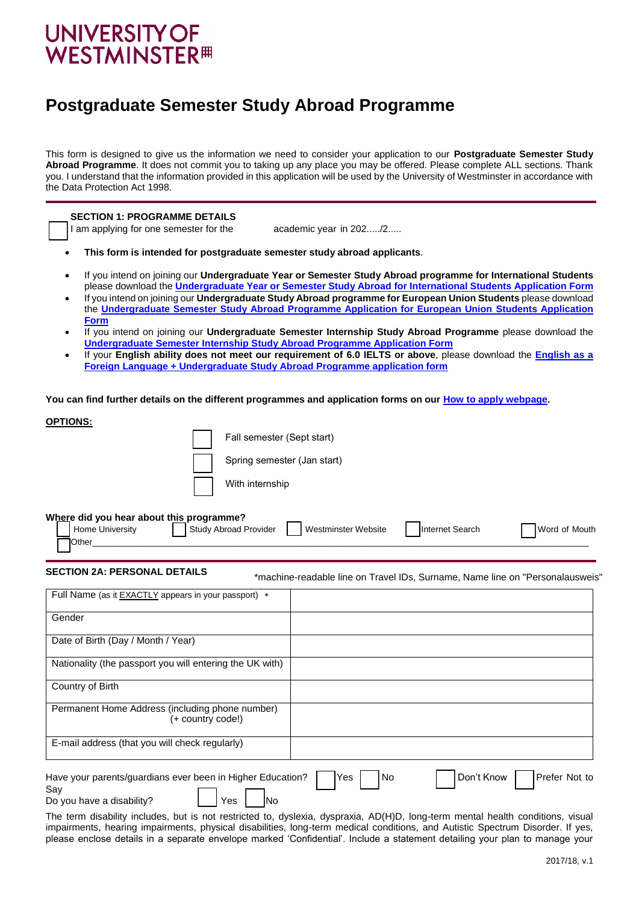# **UNIVERSITY OF WESTMINSTER<sup>#</sup>**

Do you have a disability? ⃞ Yes ⃞ No

E-mail address (that you will check regularly)

Say

## **Postgraduate Semester Study Abroad Programme**

This form is designed to give us the information we need to consider your application to our **Postgraduate Semester Study Abroad Programme**. It does not commit you to taking up any place you may be offered. Please complete ALL sections. Thank you. I understand that the information provided in this application will be used by the University of Westminster in accordance with the Data Protection Act 1998.

| <b>SECTION 1: PROGRAMME DETAILS</b><br>I am applying for one semester for the<br>academic year in 202/2<br>This form is intended for postgraduate semester study abroad applicants.                                                                                                                                                                                                                                                                                                                                                                                                                                                                                                                                                                                                                                                                                        |
|----------------------------------------------------------------------------------------------------------------------------------------------------------------------------------------------------------------------------------------------------------------------------------------------------------------------------------------------------------------------------------------------------------------------------------------------------------------------------------------------------------------------------------------------------------------------------------------------------------------------------------------------------------------------------------------------------------------------------------------------------------------------------------------------------------------------------------------------------------------------------|
| If you intend on joining our Undergraduate Year or Semester Study Abroad programme for International Students<br>please download the <i>Undergraduate Year or Semester Study Abroad for International Students Application Form</i><br>If you intend on joining our Undergraduate Study Abroad programme for European Union Students please download<br>the Undergraduate Semester Study Abroad Programme Application for European Union Students Application<br><b>Form</b><br>If you intend on joining our Undergraduate Semester Internship Study Abroad Programme please download the<br><b>Undergraduate Semester Internship Study Abroad Programme Application Form</b><br>If your English ability does not meet our requirement of 6.0 IELTS or above, please download the English as a<br>Foreign Language + Undergraduate Study Abroad Programme application form |
| You can find further details on the different programmes and application forms on our How to apply webpage.                                                                                                                                                                                                                                                                                                                                                                                                                                                                                                                                                                                                                                                                                                                                                                |
| <u>OPTIONS:</u><br>Fall semester (Sept start)<br>Spring semester (Jan start)<br>With internship<br>Where did you hear about this programme?<br>Study Abroad Provider<br>Home University<br>Internet Search<br><b>Westminster Website</b><br>Word of Mouth<br>Other                                                                                                                                                                                                                                                                                                                                                                                                                                                                                                                                                                                                         |
| <b>SECTION 2A: PERSONAL DETAILS</b><br>*machine-readable line on Travel IDs, Surname, Name line on "Personalausweis'                                                                                                                                                                                                                                                                                                                                                                                                                                                                                                                                                                                                                                                                                                                                                       |
| Full Name (as it <b>EXACTLY</b> appears in your passport) *                                                                                                                                                                                                                                                                                                                                                                                                                                                                                                                                                                                                                                                                                                                                                                                                                |
| Gender                                                                                                                                                                                                                                                                                                                                                                                                                                                                                                                                                                                                                                                                                                                                                                                                                                                                     |
| Date of Birth (Day / Month / Year)                                                                                                                                                                                                                                                                                                                                                                                                                                                                                                                                                                                                                                                                                                                                                                                                                                         |
| Nationality (the passport you will entering the UK with)                                                                                                                                                                                                                                                                                                                                                                                                                                                                                                                                                                                                                                                                                                                                                                                                                   |
| Country of Birth                                                                                                                                                                                                                                                                                                                                                                                                                                                                                                                                                                                                                                                                                                                                                                                                                                                           |
| Permanent Home Address (including phone number)<br>(+ country code!)                                                                                                                                                                                                                                                                                                                                                                                                                                                                                                                                                                                                                                                                                                                                                                                                       |

The term disability includes, but is not restricted to, dyslexia, dyspraxia, AD(H)D, long-term mental health conditions, visual impairments, hearing impairments, physical disabilities, long-term medical conditions, and Autistic Spectrum Disorder. If yes, please enclose details in a separate envelope marked 'Confidential'. Include a statement detailing your plan to manage your

Have your parents/guardians ever been in Higher Education?  $\Box$  Yes | No | Don't Know | Prefer Not to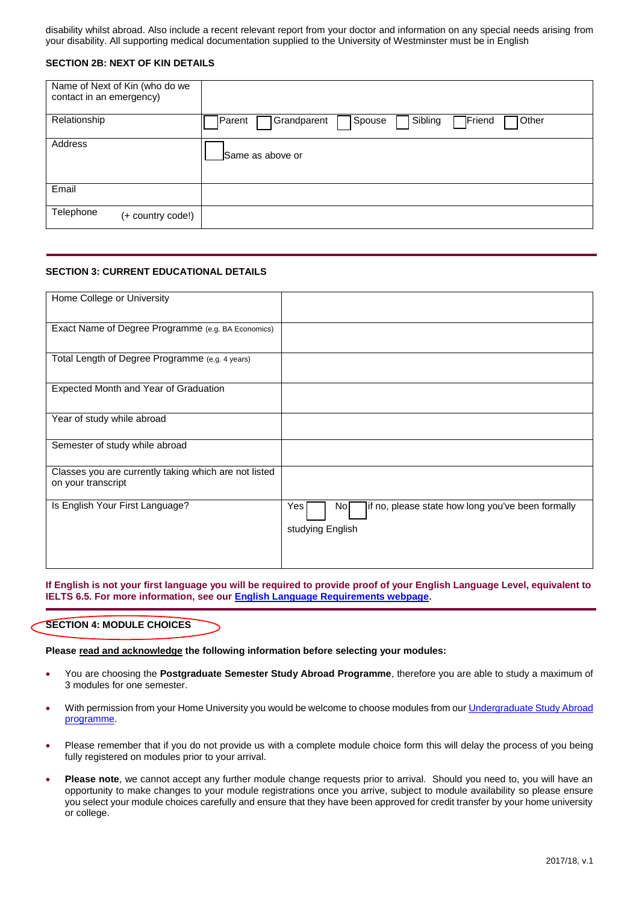disability whilst abroad. Also include a recent relevant report from your doctor and information on any special needs arising from your disability. All supporting medical documentation supplied to the University of Westminster must be in English

#### **SECTION 2B: NEXT OF KIN DETAILS**

| Name of Next of Kin (who do we<br>contact in an emergency) |                                                                            |
|------------------------------------------------------------|----------------------------------------------------------------------------|
| Relationship                                               | Sibling<br>Friend <sup>1</sup><br>Spouse<br>Parent<br>Grandparent<br>Other |
| Address                                                    | Same as above or                                                           |
| Email                                                      |                                                                            |
| Telephone<br>(+ country code!)                             |                                                                            |

#### **SECTION 3: CURRENT EDUCATIONAL DETAILS**

| Home College or University                                                  |                                                                                     |
|-----------------------------------------------------------------------------|-------------------------------------------------------------------------------------|
| Exact Name of Degree Programme (e.g. BA Economics)                          |                                                                                     |
| Total Length of Degree Programme (e.g. 4 years)                             |                                                                                     |
| Expected Month and Year of Graduation                                       |                                                                                     |
| Year of study while abroad                                                  |                                                                                     |
| Semester of study while abroad                                              |                                                                                     |
| Classes you are currently taking which are not listed<br>on your transcript |                                                                                     |
| Is English Your First Language?                                             | if no, please state how long you've been formally<br>Yes<br>Nol<br>studying English |

**If English is not your first language you will be required to provide proof of your English Language Level, equivalent to IELTS 6.5. For more information, see ou[r English Language Requirements webpage.](http://www.westminster.ac.uk/english-language-requirements)**

#### **SECTION 4: MODULE CHOICES**

**Please read and acknowledge the following information before selecting your modules:**

- You are choosing the **Postgraduate Semester Study Abroad Programme**, therefore you are able to study a maximum of 3 modules for one semester.
- With permission from your Home University you would be welcome to choose modules from ou[r Undergraduate Study Abroad](http://www.westminster.ac.uk/undergraduate-study-abroad) [programme.](http://www.westminster.ac.uk/undergraduate-study-abroad)
- Please remember that if you do not provide us with a complete module choice form this will delay the process of you being fully registered on modules prior to your arrival.
- **Please note**, we cannot accept any further module change requests prior to arrival. Should you need to, you will have an opportunity to make changes to your module registrations once you arrive, subject to module availability so please ensure you select your module choices carefully and ensure that they have been approved for credit transfer by your home university or college.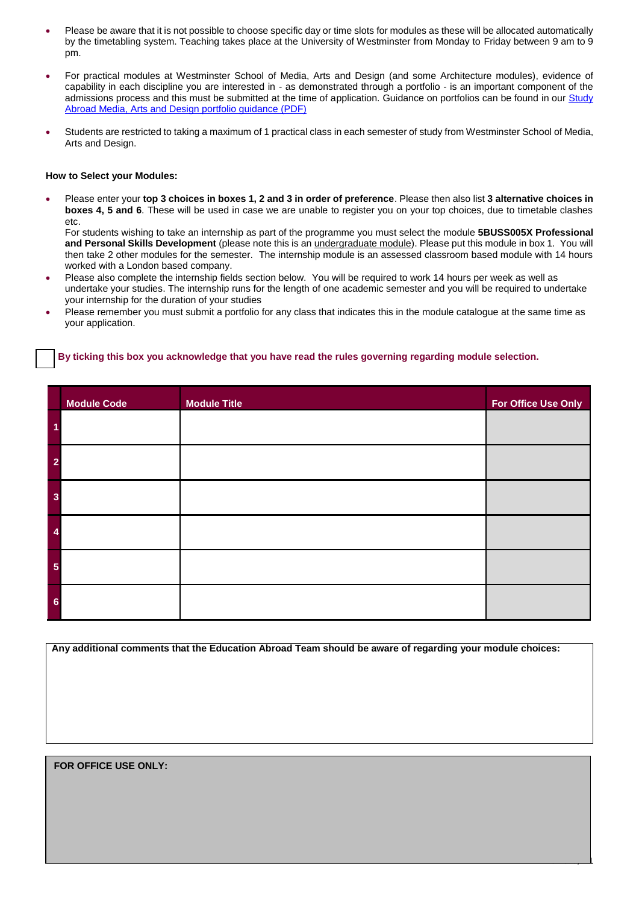- Please be aware that it is not possible to choose specific day or time slots for modules as these will be allocated automatically by the timetabling system. Teaching takes place at the University of Westminster from Monday to Friday between 9 am to 9 pm.
- For practical modules at Westminster School of Media, Arts and Design (and some Architecture modules), evidence of capability in each discipline you are interested in - as demonstrated through a portfolio - is an important component of the admissions process and this must be submitted at the time of application. Guidance on portfolios can be found in ou[r Study](http://www.westminster.ac.uk/study-abroad-mad-portfolios) [Abroad Media, Arts and Design portfolio guidance \(PDF\)](http://www.westminster.ac.uk/study-abroad-mad-portfolios)
- Students are restricted to taking a maximum of 1 practical class in each semester of study from Westminster School of Media, Arts and Design.

#### **How to Select your Modules:**

 Please enter your **top 3 choices in boxes 1, 2 and 3 in order of preference**. Please then also list **3 alternative choices in boxes 4, 5 and 6**. These will be used in case we are unable to register you on your top choices, due to timetable clashes etc.

For students wishing to take an internship as part of the programme you must select the module **5BUSS005X Professional and Personal Skills Development** (please note this is an undergraduate module). Please put this module in box 1. You will then take 2 other modules for the semester. The internship module is an assessed classroom based module with 14 hours worked with a London based company.

- Please also complete the internship fields section below. You will be required to work 14 hours per week as well as undertake your studies. The internship runs for the length of one academic semester and you will be required to undertake your internship for the duration of your studies
- Please remember you must submit a portfolio for any class that indicates this in the module catalogue at the same time as your application.

#### ⃞ **By ticking this box you acknowledge that you have read the rules governing regarding module selection.**

|                | <b>Module Code</b> | <b>Module Title</b> | For Office Use Only |
|----------------|--------------------|---------------------|---------------------|
|                |                    |                     |                     |
| $\overline{2}$ |                    |                     |                     |
| 3              |                    |                     |                     |
|                |                    |                     |                     |
| 5              |                    |                     |                     |
| 6              |                    |                     |                     |

**Any additional comments that the Education Abroad Team should be aware of regarding your module choices:** 

**Do you wish to apply for a place in University of Westminster Halls of Residence?** 

2017/18, v.1

#### **FOR OFFICE USE ONLY:**

**SECTION 5: HALLS OF RESIDENCE**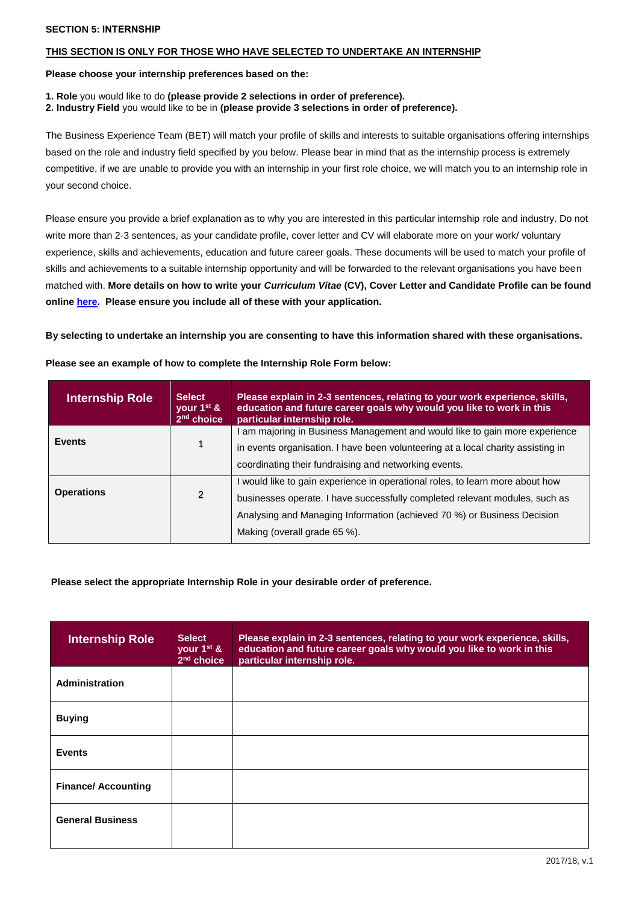#### **SECTION 5: INTERNSHIP**

#### **THIS SECTION IS ONLY FOR THOSE WHO HAVE SELECTED TO UNDERTAKE AN INTERNSHIP**

**Please choose your internship preferences based on the:** 

- **1. Role** you would like to do **(please provide 2 selections in order of preference).**
- **2. Industry Field** you would like to be in **(please provide 3 selections in order of preference).**

The Business Experience Team (BET) will match your profile of skills and interests to suitable organisations offering internships based on the role and industry field specified by you below. Please bear in mind that as the internship process is extremely competitive, if we are unable to provide you with an internship in your first role choice, we will match you to an internship role in your second choice.

Please ensure you provide a brief explanation as to why you are interested in this particular internship role and industry. Do not write more than 2-3 sentences, as your candidate profile, cover letter and CV will elaborate more on your work/ voluntary experience, skills and achievements, education and future career goals. These documents will be used to match your profile of skills and achievements to a suitable internship opportunity and will be forwarded to the relevant organisations you have been matched with. **More details on how to write your** *Curriculum Vitae* **(CV), Cover Letter and Candidate Profile can be found onlin[e here.](https://www.westminster.ac.uk/international/study-abroad/undergraduate-semester-internship-study-abroad-programme/explore-your-internship) Please ensure you include all of these with your application.** 

**By selecting to undertake an internship you are consenting to have this information shared with these organisations.**

| <b>Internship Role</b> | <b>Select</b><br>vour $1^{st}$ &<br>2 <sup>nd</sup> choice | Please explain in 2-3 sentences, relating to your work experience, skills,<br>education and future career goals why would you like to work in this<br>particular internship role. |  |  |
|------------------------|------------------------------------------------------------|-----------------------------------------------------------------------------------------------------------------------------------------------------------------------------------|--|--|
|                        |                                                            | am majoring in Business Management and would like to gain more experience                                                                                                         |  |  |
| <b>Events</b>          |                                                            | in events organisation. I have been volunteering at a local charity assisting in                                                                                                  |  |  |
|                        |                                                            | coordinating their fundraising and networking events.                                                                                                                             |  |  |
|                        |                                                            | I would like to gain experience in operational roles, to learn more about how                                                                                                     |  |  |
| <b>Operations</b>      | $\mathfrak{p}$                                             | businesses operate. I have successfully completed relevant modules, such as                                                                                                       |  |  |
|                        |                                                            | Analysing and Managing Information (achieved 70 %) or Business Decision                                                                                                           |  |  |
|                        |                                                            | Making (overall grade 65 %).                                                                                                                                                      |  |  |

**Please see an example of how to complete the Internship Role Form below:**

#### **Please select the appropriate Internship Role in your desirable order of preference.**

| <b>Internship Role</b>     | <b>Select</b><br>your 1 <sup>st</sup> &<br>$2nd$ choice | Please explain in 2-3 sentences, relating to your work experience, skills,<br>education and future career goals why would you like to work in this<br>particular internship role. |
|----------------------------|---------------------------------------------------------|-----------------------------------------------------------------------------------------------------------------------------------------------------------------------------------|
| <b>Administration</b>      |                                                         |                                                                                                                                                                                   |
| <b>Buying</b>              |                                                         |                                                                                                                                                                                   |
| <b>Events</b>              |                                                         |                                                                                                                                                                                   |
| <b>Finance/ Accounting</b> |                                                         |                                                                                                                                                                                   |
| <b>General Business</b>    |                                                         |                                                                                                                                                                                   |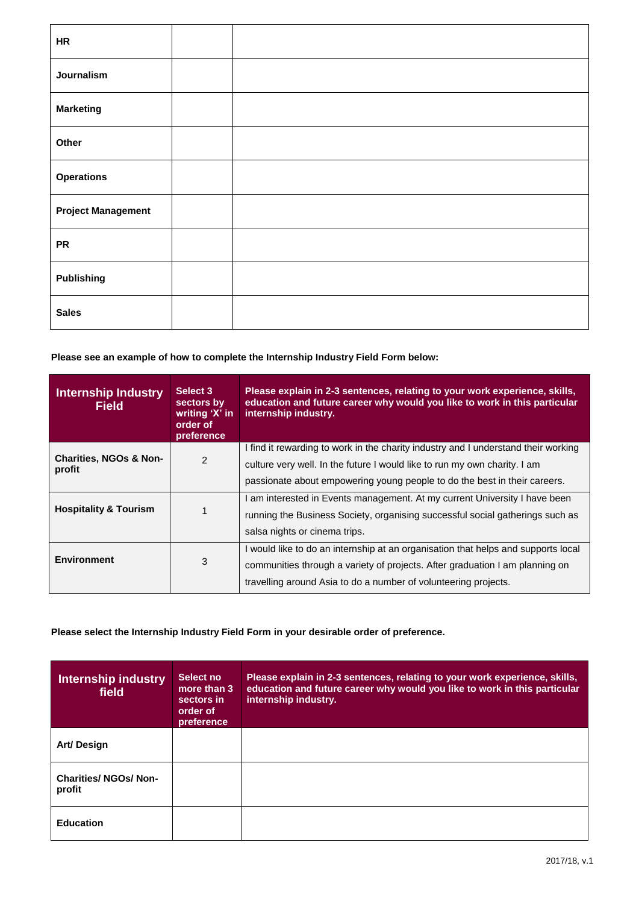| <b>HR</b>                 |  |
|---------------------------|--|
| Journalism                |  |
| <b>Marketing</b>          |  |
| Other                     |  |
| <b>Operations</b>         |  |
| <b>Project Management</b> |  |
| <b>PR</b>                 |  |
| <b>Publishing</b>         |  |
| <b>Sales</b>              |  |

 **Please see an example of how to complete the Internship Industry Field Form below:**

| Select 3<br><b>Internship Industry</b><br>sectors by<br>Field<br>writing 'X' in<br>order of<br>preference |   | Please explain in 2-3 sentences, relating to your work experience, skills,<br>education and future career why would you like to work in this particular<br>internship industry. |  |  |  |
|-----------------------------------------------------------------------------------------------------------|---|---------------------------------------------------------------------------------------------------------------------------------------------------------------------------------|--|--|--|
| <b>Charities, NGOs &amp; Non-</b><br>2                                                                    |   | I find it rewarding to work in the charity industry and I understand their working                                                                                              |  |  |  |
| profit                                                                                                    |   | culture very well. In the future I would like to run my own charity. I am                                                                                                       |  |  |  |
|                                                                                                           |   | passionate about empowering young people to do the best in their careers.                                                                                                       |  |  |  |
|                                                                                                           |   | I am interested in Events management. At my current University I have been                                                                                                      |  |  |  |
| <b>Hospitality &amp; Tourism</b>                                                                          |   | running the Business Society, organising successful social gatherings such as                                                                                                   |  |  |  |
|                                                                                                           |   | salsa nights or cinema trips.                                                                                                                                                   |  |  |  |
|                                                                                                           |   | I would like to do an internship at an organisation that helps and supports local                                                                                               |  |  |  |
| <b>Environment</b>                                                                                        | 3 | communities through a variety of projects. After graduation I am planning on                                                                                                    |  |  |  |
|                                                                                                           |   | travelling around Asia to do a number of volunteering projects.                                                                                                                 |  |  |  |

 **Please select the Internship Industry Field Form in your desirable order of preference.**

| <b>Internship industry</b><br>field    | Select no<br>more than 3<br>sectors in<br>order of<br>preference | Please explain in 2-3 sentences, relating to your work experience, skills,<br>education and future career why would you like to work in this particular<br>internship industry. |
|----------------------------------------|------------------------------------------------------------------|---------------------------------------------------------------------------------------------------------------------------------------------------------------------------------|
| Art/Design                             |                                                                  |                                                                                                                                                                                 |
| <b>Charities/ NGOs/ Non-</b><br>profit |                                                                  |                                                                                                                                                                                 |
| <b>Education</b>                       |                                                                  |                                                                                                                                                                                 |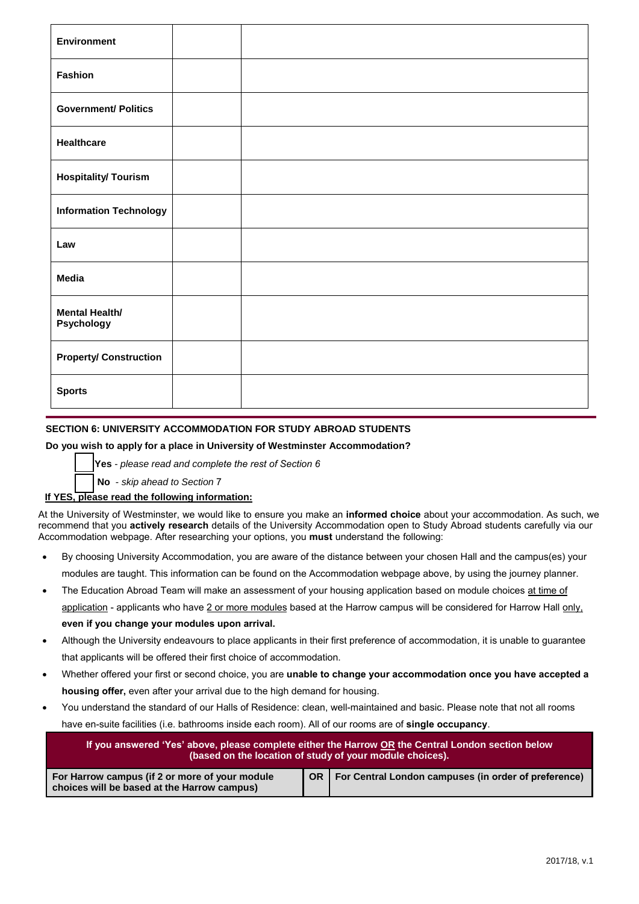| <b>Environment</b>                  |  |  |
|-------------------------------------|--|--|
| Fashion                             |  |  |
| <b>Government/ Politics</b>         |  |  |
| Healthcare                          |  |  |
| <b>Hospitality/ Tourism</b>         |  |  |
| <b>Information Technology</b>       |  |  |
| Law                                 |  |  |
| <b>Media</b>                        |  |  |
| <b>Mental Health/</b><br>Psychology |  |  |
| <b>Property/ Construction</b>       |  |  |
| <b>Sports</b>                       |  |  |

### **SECTION 6: UNIVERSITY ACCOMMODATION FOR STUDY ABROAD STUDENTS**

#### **Do you wish to apply for a place in University of Westminster Accommodation?**

⃞ **Yes** - *please read and complete the rest of Section 6*

 **No** - *skip ahead to Section* 7

### **If YES, please read the following information:**

At the University of Westminster, we would like to ensure you make an **informed choice** about your accommodation. As such, we recommend that you **actively research** details of the University Accommodation open to Study Abro[ad students carefully via our](http://www.westminster.ac.uk/study-abroad-accommodation)  [Accommodation webpage. After research](http://www.westminster.ac.uk/study-abroad-accommodation)ing your options, you **must** understand the following:

- By choosing University Accommodation, you are aware of the distance between your chosen Hall and the campus(es) your modules are taught. This information can be found on the Accommodation webpage above, by using the journey planner.
- The Education Abroad Team will make an assessment of your housing application based on module choices at time of application - applicants who have 2 or more modules based at the Harrow campus will be considered for Harrow Hall only, **even if you change your modules upon arrival.**
- Although the University endeavours to place applicants in their first preference of accommodation, it is unable to guarantee that applicants will be offered their first choice of accommodation.
- Whether offered your first or second choice, you are **unable to change your accommodation once you have accepted a housing offer,** even after your arrival due to the high demand for housing.
- You understand the standard of our Halls of Residence: clean, well-maintained and basic. Please note that not all rooms have en-suite facilities (i.e. bathrooms inside each room). All of our rooms are of **single occupancy**.

| If you answered 'Yes' above, please complete either the Harrow OR the Central London section below<br>(based on the location of study of your module choices). |  |                                                           |  |  |
|----------------------------------------------------------------------------------------------------------------------------------------------------------------|--|-----------------------------------------------------------|--|--|
| For Harrow campus (if 2 or more of your module<br>choices will be based at the Harrow campus)                                                                  |  | OR   For Central London campuses (in order of preference) |  |  |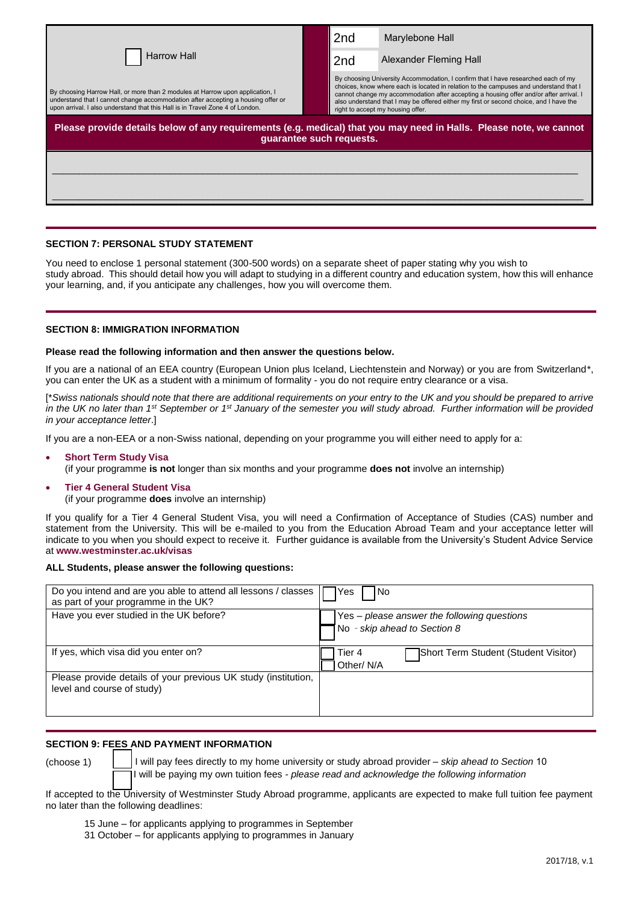|                                                                                                                                                                                                                                                    |  | 2 <sub>nd</sub>                                                                                                                                                                                                                                                                                                                                                                                     | Marylebone Hall        |  |
|----------------------------------------------------------------------------------------------------------------------------------------------------------------------------------------------------------------------------------------------------|--|-----------------------------------------------------------------------------------------------------------------------------------------------------------------------------------------------------------------------------------------------------------------------------------------------------------------------------------------------------------------------------------------------------|------------------------|--|
| <b>Harrow Hall</b>                                                                                                                                                                                                                                 |  | 2nd                                                                                                                                                                                                                                                                                                                                                                                                 | Alexander Fleming Hall |  |
| By choosing Harrow Hall, or more than 2 modules at Harrow upon application, I<br>understand that I cannot change accommodation after accepting a housing offer or<br>upon arrival. I also understand that this Hall is in Travel Zone 4 of London. |  | By choosing University Accommodation, I confirm that I have researched each of my<br>choices, know where each is located in relation to the campuses and understand that I<br>cannot change my accommodation after accepting a housing offer and/or after arrival. I<br>also understand that I may be offered either my first or second choice, and I have the<br>right to accept my housing offer. |                        |  |
| Please provide details below of any requirements (e.g. medical) that you may need in Halls. Please note, we cannot<br>quarantee such requests.                                                                                                     |  |                                                                                                                                                                                                                                                                                                                                                                                                     |                        |  |
|                                                                                                                                                                                                                                                    |  |                                                                                                                                                                                                                                                                                                                                                                                                     |                        |  |
|                                                                                                                                                                                                                                                    |  |                                                                                                                                                                                                                                                                                                                                                                                                     |                        |  |

#### **SECTION 7: PERSONAL STUDY STATEMENT**

You need to enclose 1 personal statement (300-500 words) on a separate sheet of paper stating why you wish to study abroad. This should detail how you will adapt to studying in a different country and education system, how this will enhance your learning, and, if you anticipate any challenges, how you will overcome them.

#### **SECTION 8: IMMIGRATION INFORMATION**

#### **Please read the following information and then answer the questions below.**

If you are a national of an EEA country (European Union plus Iceland, Liechtenstein and Norway) or you are from Switzerland\*, you can enter the UK as a student with a minimum of formality - you do not require entry clearance or a visa.

[\**Swiss nationals should note that there are additional requirements on your entry to the UK and you should be prepared to arrive*  in the UK no later than 1<sup>st</sup> September or 1<sup>st</sup> January of the semester you will study abroad. Further information will be provided *in your acceptance letter*.]

If you are a non-EEA or a non-Swiss national, depending on your programme you will either need to apply for a:

- **Short Term Study Visa**
- (if your programme **is not** longer than six months and your programme **does not** involve an internship)

#### **Tier 4 General Student Visa**

(if your programme **does** involve an internship)

If you qualify for a Tier 4 General Student Visa, you will need a Confirmation of Acceptance of Studies (CAS) number and statement from the University. This will be e-mailed to you from the Education Abroad Team and your acceptance letter will indicate to you when you should expect to receive it. Further guidance is available from the University's Student Advice Service at **www.westminster.ac.uk/visas**

#### **ALL Students, please answer the following questions:**

| Do you intend and are you able to attend all lessons / classes<br>as part of your programme in the UK? | l No<br>IYes                                                                |  |  |
|--------------------------------------------------------------------------------------------------------|-----------------------------------------------------------------------------|--|--|
| Have you ever studied in the UK before?                                                                | Yes - please answer the following questions<br>No - skip ahead to Section 8 |  |  |
| If yes, which visa did you enter on?                                                                   | Short Term Student (Student Visitor)<br>Tier 4<br>Other/N/A                 |  |  |
| Please provide details of your previous UK study (institution,<br>level and course of study)           |                                                                             |  |  |

#### **SECTION 9: FEES AND PAYMENT INFORMATION**

(choose 1) ⃞ I will pay fees directly to my home university or study abroad provider – *skip ahead to Section* 10 I will be paying my own tuition fees - *please read and acknowledge the following information*

If accepted to the University of Westminster Study Abroad programme, applicants are expected to make full tuition fee payment no later than the following deadlines:

15 June – for applicants applying to programmes in September

31 October – for applicants applying to programmes in January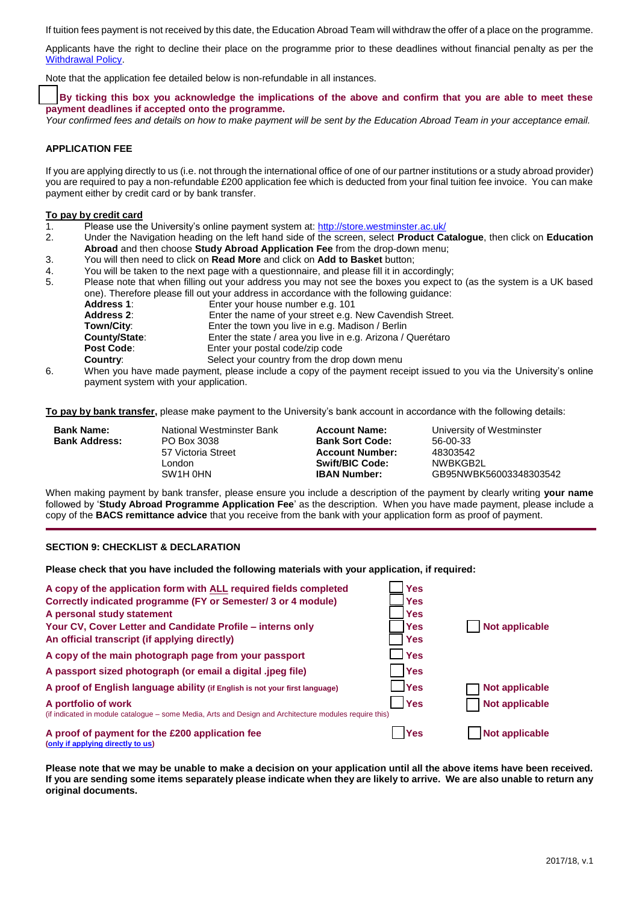If tuition fees payment is not received by this date, the Education Abroad Team will withdraw the offer of a place on the programme.

Applicants have the right to decline their place on the programme prior to these deadlines without financial penalty as per the [Withdrawal Policy.](http://www.westminster.ac.uk/study-abroad-withdrawal-policy)

Note that the application fee detailed below is non-refundable in all instances.

⃞ **By ticking this box you acknowledge the implications of the above and confirm that you are able to meet these payment deadlines if accepted onto the programme.**

*Your confirmed fees and details on how to make payment will be sent by the Education Abroad Team in your acceptance email.*

#### **APPLICATION FEE**

If you are applying directly to us (i.e. not through the international office of one of our partner institutions or a study abroad provider) you are required to pay a non-refundable £200 application fee which is deducted from your final tuition fee invoice. You can make payment either by credit card or by bank transfer.

#### **To pay by credit card**

- 1. Please use the University's online payment system at:<http://store.westminster.ac.uk/>
- 2. Under the Navigation heading on the left hand side of the screen, select **Product Catalogue**, then click on **Education Abroad** and then choose **Study Abroad Application Fee** from the drop-down menu;
- 3. You will then need to click on **Read More** and click on **Add to Basket** button;
- 4. You will be taken to the next page with a questionnaire, and please fill it in accordingly;
- 5. Please note that when filling out your address you may not see the boxes you expect to (as the system is a UK based one). Therefore please fill out your address in accordance with the following guidance:

| <b>Address 1:</b> | Enter your house number e.g. 101                            |
|-------------------|-------------------------------------------------------------|
| <b>Address 2:</b> | Enter the name of your street e.g. New Cavendish Street.    |
| Town/City:        | Enter the town you live in e.g. Madison / Berlin            |
| County/State:     | Enter the state / area you live in e.g. Arizona / Querétaro |
| <b>Post Code:</b> | Enter your postal code/zip code                             |
| <b>Country:</b>   | Select your country from the drop down menu                 |

6. When you have made payment, please include a copy of the payment receipt issued to you via the University's online payment system with your application.

**To pay by bank transfer,** please make payment to the University's bank account in accordance with the following details:

57 Victoria Street **Account Number:** London **Swift/BIC Code:** NWBKGB2L<br>SW1H 0HN **IBAN Number:** GB95NWBK

**Bank Sort Code:** 56-00-33<br>**Account Number:** 48303542

**Bank Name:** National Westminster Bank **Account Name:** University of Westminster<br> **Bank Address:** PO Box 3038 **Bank Sort Code:** 56-00-33 SW1H 0HN **IBAN Number:** GB95NWBK56003348303542

When making payment by bank transfer, please ensure you include a description of the payment by clearly writing **your name** followed by '**Study Abroad Programme Application Fee**' as the description. When you have made payment, please include a copy of the **BACS remittance advice** that you receive from the bank with your application form as proof of payment.

#### **SECTION 9: CHECKLIST & DECLARATION**

**Please check that you have included the following materials with your application, if required:**

| A copy of the application form with ALL required fields completed                                                             | <b>Yes</b>  |                       |
|-------------------------------------------------------------------------------------------------------------------------------|-------------|-----------------------|
| Correctly indicated programme (FY or Semester/ 3 or 4 module)                                                                 | <b>Yes</b>  |                       |
| A personal study statement                                                                                                    | <b>Yes</b>  |                       |
| Your CV, Cover Letter and Candidate Profile - interns only                                                                    | <b>Yes</b>  | Not applicable        |
| An official transcript (if applying directly)                                                                                 | <b>Yes</b>  |                       |
| A copy of the main photograph page from your passport                                                                         | <b>Yes</b>  |                       |
| A passport sized photograph (or email a digital .jpeg file)                                                                   | <b>Yes</b>  |                       |
| A proof of English language ability (if English is not your first language)                                                   | <b>PYes</b> | <b>Not applicable</b> |
| A portfolio of work<br>(if indicated in module catalogue – some Media, Arts and Design and Architecture modules require this) | <b>Yes</b>  | Not applicable        |
| A proof of payment for the £200 application fee<br>(only if applying directly to us)                                          | <b>Yes</b>  | <b>Not applicable</b> |

**Please note that we may be unable to make a decision on your application until all the above items have been received. If you are sending some items separately please indicate when they are likely to arrive. We are also unable to return any original documents.**